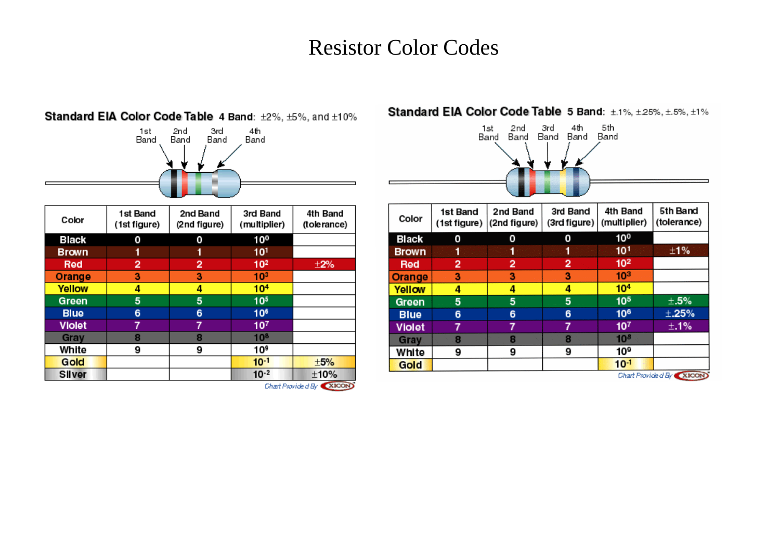## Resistor Color Codes



| Color         | 1st Band<br>(1st figure) | 2nd Band<br>(2nd figure) | 3rd Band<br>(multiplier) | 4th Band<br>(tolerance) |
|---------------|--------------------------|--------------------------|--------------------------|-------------------------|
| Black         | 0                        | 0                        | 10 <sup>0</sup>          |                         |
| <b>Brown</b>  | 1                        | 1                        | 10 <sup>1</sup>          |                         |
| Red           | 2                        | 2                        | 10 <sup>2</sup>          | $\pm 2\%$               |
| Orange        | з                        | з                        | 10 <sup>3</sup>          |                         |
| Yellow        | 4                        | 4                        | 10 <sup>4</sup>          |                         |
| Green         | 5                        | 5                        | 10 <sup>5</sup>          |                         |
| <b>Blue</b>   | 6                        | 6                        | 10 <sup>6</sup>          |                         |
| <b>Violet</b> | 7                        |                          | 10 <sup>7</sup>          |                         |
| Gray          | 8                        | 8                        | 10 <sup>8</sup>          |                         |
| White         | 9                        | 9                        | 10 <sup>9</sup>          |                         |
| Gold          |                          |                          | $10^{-1}$                | ±5%                     |
| Silver        |                          |                          | $10^{-2}$                | ±10%                    |

Standard EIA Color Code Table 4 Band: ±2%, ±5%, and ±10%

## Standard EIA Color Code Table 5 Band: ±.1%, ±.25%, ±.5%, ±1%



| Color                    | 1st Band<br>(1st figure) | 2nd Band<br>(2nd figure) | 3rd Band<br>(3rd figure) | 4th Band<br>(multiplier) | 5th Band<br>(tolerance) |  |
|--------------------------|--------------------------|--------------------------|--------------------------|--------------------------|-------------------------|--|
| <b>Black</b>             | Ο                        | 0                        | 0                        | 10 <sup>0</sup>          |                         |  |
| <b>Brown</b>             |                          |                          |                          | 10 <sup>1</sup>          | ±1%                     |  |
| <b>Red</b>               | 2                        | 2                        | 2                        | 10 <sup>2</sup>          |                         |  |
| Orange                   | 3                        | 3                        | 3                        | 10 <sup>3</sup>          |                         |  |
| Yellow                   | 4                        | 4                        | 4                        | 10 <sup>4</sup>          |                         |  |
| Green                    | 5<br>5                   |                          | 5                        | 10 <sup>5</sup>          | $\pm .5\%$              |  |
| <b>Blue</b>              | 6                        | 6                        | 6                        | 10 <sup>6</sup>          | ± 25%                   |  |
| <b>Violet</b>            |                          | 7                        | 7                        | 10 <sup>7</sup>          | ±.1%                    |  |
| Gray                     | 8                        | 8                        | 8                        | 10 <sup>8</sup>          |                         |  |
| White                    | 9                        | 9                        | 9                        | 10 <sup>9</sup>          |                         |  |
| Gold                     |                          |                          |                          | $10^{-1}$                |                         |  |
| Chart Provide d By XICON |                          |                          |                          |                          |                         |  |

Chart Provided By XICON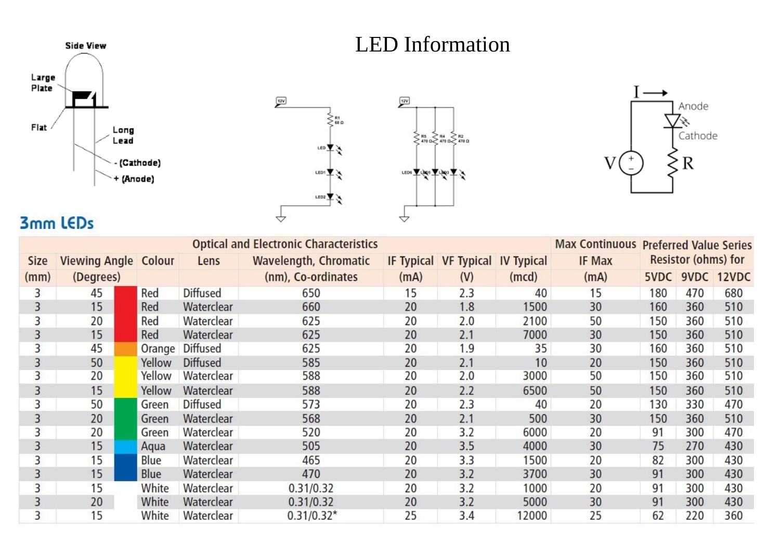## LED Information







## 3mm LEDs

| <b>Optical and Electronic Characteristics</b> |                             |        |                 |                              |      |                                  | <b>Max Continuous Preferred Value Series</b> |               |     |                            |                 |
|-----------------------------------------------|-----------------------------|--------|-----------------|------------------------------|------|----------------------------------|----------------------------------------------|---------------|-----|----------------------------|-----------------|
| <b>Size</b>                                   | <b>Viewing Angle Colour</b> |        | Lens            | <b>Wavelength, Chromatic</b> |      | IF Typical VF Typical IV Typical |                                              | <b>IF Max</b> |     | <b>Resistor (ohms) for</b> |                 |
| (mm)                                          | (Degrees)                   |        |                 | (nm), Co-ordinates           | (mA) | (V)                              | (mcd)                                        | (mA)          |     |                            | 5VDC 9VDC 12VDC |
| 3                                             | 45                          | Red    | <b>Diffused</b> | 650                          | 15   | 2.3                              | 40                                           | 15            | 180 | 470                        | 680             |
| 3                                             | 15                          | Red    | Waterclear      | 660                          | 20   | 1.8                              | 1500                                         | 30            | 160 | 360                        | 510             |
| 3                                             | 20                          | Red    | Waterclear      | 625                          | 20   | 2.0                              | 2100                                         | 50            | 150 | 360                        | 510             |
| 3                                             | 15                          | Red    | Waterclear      | 625                          | 20   | 2.1                              | 7000                                         | 30            | 150 | 360                        | 510             |
| 3                                             | 45                          | Orange | <b>Diffused</b> | 625                          | 20   | 1.9                              | 35                                           | 30            | 160 | 360                        | 510             |
| 3                                             | 50                          | Yellow | <b>Diffused</b> | 585                          | 20   | 2.1                              | 10                                           | 20            | 150 | 360                        | 510             |
| 3                                             | 20                          | Yellow | Waterclear      | 588                          | 20   | 2.0                              | 3000                                         | 50            | 150 | 360                        | 510             |
| 3                                             | 15                          | Yellow | Waterclear      | 588                          | 20   | 2.2                              | 6500                                         | 50            | 150 | 360                        | 510             |
| 3                                             | 50                          | Green  | <b>Diffused</b> | 573                          | 20   | 2.3                              | 40                                           | 20            | 130 | 330                        | 470             |
| 3                                             | 20                          | Green  | Waterclear      | 568                          | 20   | 2.1                              | 500                                          | 30            | 150 | 360                        | 510             |
| 3                                             | 20                          | Green  | Waterclear      | 520                          | 20   | 3.2                              | 6000                                         | 20            | 91  | 300                        | 470             |
| 3                                             | 15                          | Aqua   | Waterclear      | 505                          | 20   | 3.5                              | 4000                                         | 30            | 75  | 270                        | 430             |
| 3                                             | 15                          | Blue   | Waterclear      | 465                          | 20   | 3.3                              | 1500                                         | 20            | 82  | 300                        | 430             |
| 3                                             | 15                          | Blue   | Waterclear      | 470                          | 20   | 3.2                              | 3700                                         | 30            | 91  | 300                        | 430             |
| 3                                             | 15                          | White  | Waterclear      | 0.31/0.32                    | 20   | 3.2                              | 1000                                         | 20            | 91  | 300                        | 430             |
| 3                                             | 20                          | White  | Waterclear      | 0.31/0.32                    | 20   | 3.2                              | 5000                                         | 30            | 91  | 300                        | 430             |
| 3                                             | 15                          | White  | Waterclear      | $0.31/0.32*$                 | 25   | 3.4                              | 12000                                        | 25            | 62  | 220                        | 360             |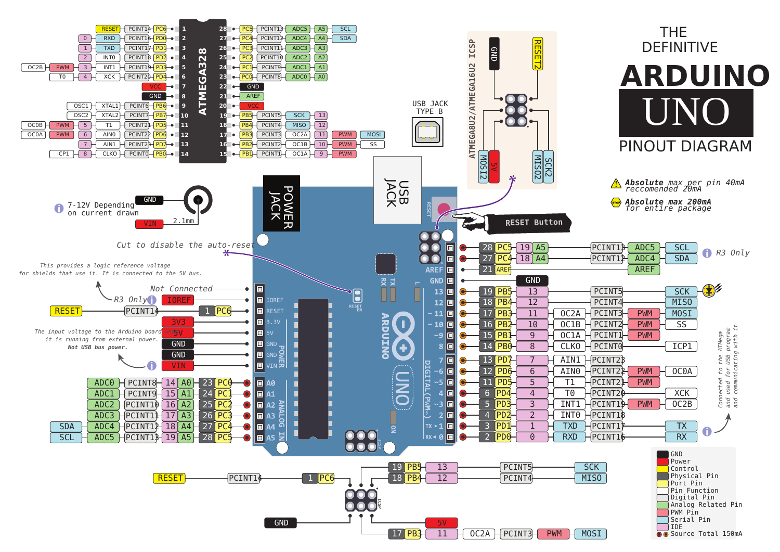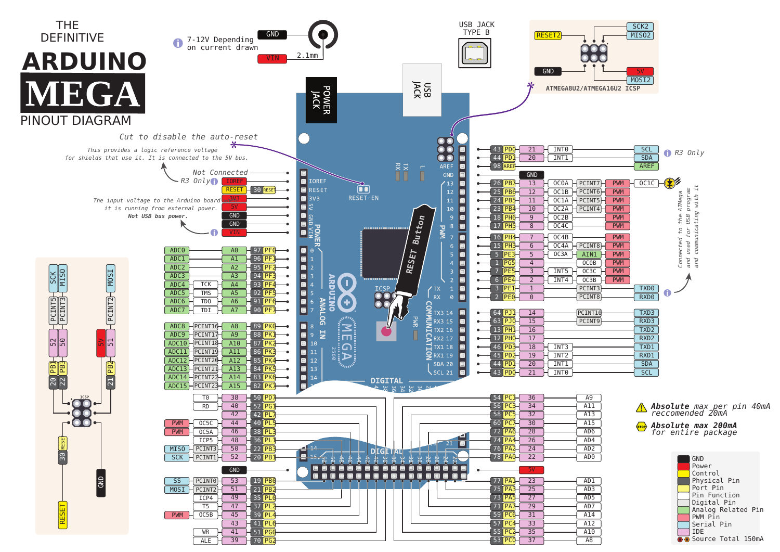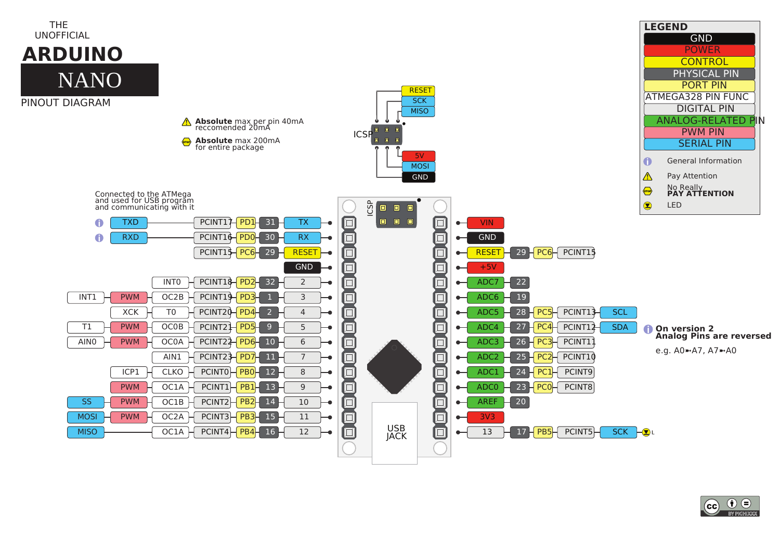

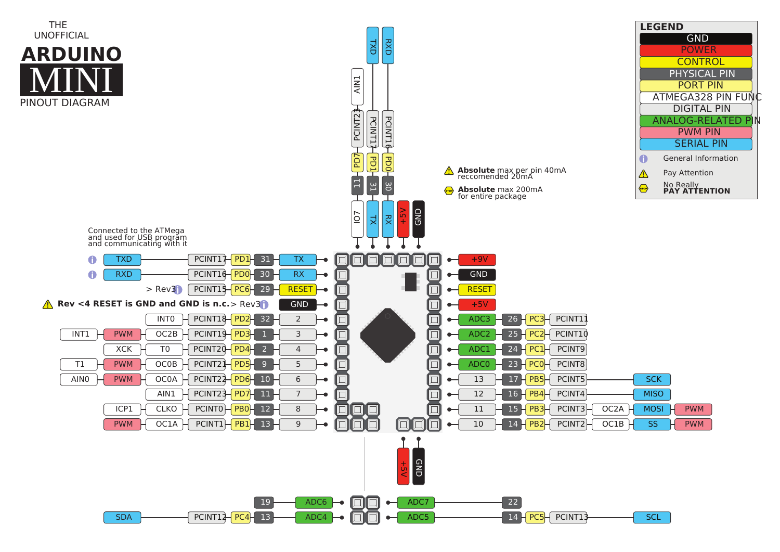